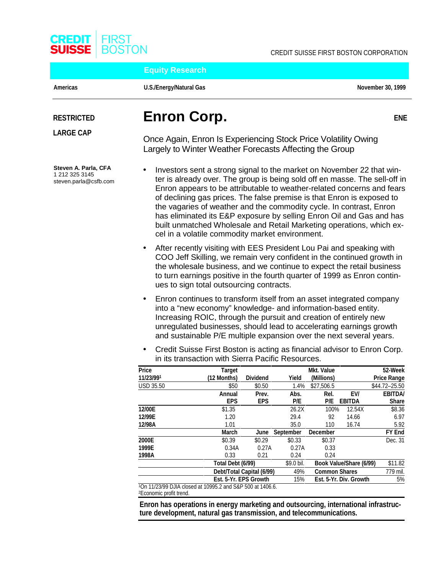

**Equity Research**

Americas **November 30, 1999** U.S./Energy/Natural Gas **November 30, 1999** November 30, 1999

**ENE**

**Steven A. Parla, CFA** 1 212 325 3145 steven.parla@csfb.com

# **RESTRICTED Enron Corp.**

**LARGE CAP**<br>
Once Again, Enron Is Experiencing Stock Price Volatility Owing Largely to Winter Weather Forecasts Affecting the Group

- Investors sent a strong signal to the market on November 22 that winter is already over. The group is being sold off en masse. The sell-off in Enron appears to be attributable to weather-related concerns and fears of declining gas prices. The false premise is that Enron is exposed to the vagaries of weather and the commodity cycle. In contrast, Enron has eliminated its E&P exposure by selling Enron Oil and Gas and has built unmatched Wholesale and Retail Marketing operations, which excel in a volatile commodity market environment.
- After recently visiting with EES President Lou Pai and speaking with COO Jeff Skilling, we remain very confident in the continued growth in the wholesale business, and we continue to expect the retail business to turn earnings positive in the fourth quarter of 1999 as Enron continues to sign total outsourcing contracts.
- Enron continues to transform itself from an asset integrated company into a "new economy" knowledge- and information-based entity. Increasing ROIC, through the pursuit and creation of entirely new unregulated businesses, should lead to accelerating earnings growth and sustainable P/E multiple expansion over the next several years.
- Credit Suisse First Boston is acting as financial advisor to Enron Corp. in its transaction with Sierra Pacific Resources.

| Price            | <b>Target</b>                                              |                           |                  | <b>Mkt. Value</b>    |                         | 52-Week            |
|------------------|------------------------------------------------------------|---------------------------|------------------|----------------------|-------------------------|--------------------|
| 11/23/991        | (12 Months)                                                | <b>Dividend</b>           | Yield            | (Millions)           |                         | <b>Price Range</b> |
| <b>USD 35.50</b> | \$50                                                       | \$0.50                    | 1.4%             | \$27,506.5           |                         | \$44.72-25.50      |
|                  | Annual                                                     | Prev.                     | Abs.             | Rel.                 | EV/                     | <b>EBITDA/</b>     |
|                  | <b>EPS</b>                                                 | <b>EPS</b>                | P/E              | P/E                  | <b>EBITDA</b>           | <b>Share</b>       |
| 12/00E           | \$1.35                                                     |                           | 26.2X            | 100%                 | 12.54X                  | \$8.36             |
| 12/99E           | 1.20                                                       |                           | 29.4             | 92                   | 14.66                   | 6.97               |
| 12/98A           | 1.01                                                       |                           | 35.0             | 110                  | 16.74                   | 5.92               |
|                  | <b>March</b>                                               | June                      | <b>September</b> | <b>December</b>      |                         | <b>FY End</b>      |
| 2000E            | \$0.39                                                     | \$0.29                    | \$0.33           | \$0.37               |                         | Dec. 31            |
| 1999E            | 0.34A                                                      | 0.27A                     | 0.27A            | 0.33                 |                         |                    |
| 1998A            | 0.33                                                       | 0.21                      | 0.24             | 0.24                 |                         |                    |
|                  | Total Debt (6/99)                                          |                           | \$9.0 bil.       |                      | Book Value/Share (6/99) | \$11.82            |
|                  |                                                            | Debt/Total Capital (6/99) | 49%              | <b>Common Shares</b> |                         | 779 mil.           |
|                  | Est. 5-Yr. EPS Growth                                      |                           | 15%              |                      | Est. 5-Yr. Div. Growth  | 5%                 |
|                  | 10n 11/23/99 DJIA closed at 10995.2 and S&P 500 at 1406.6. |                           |                  |                      |                         |                    |

2Economic profit trend.

**Enron has operations in energy marketing and outsourcing, international infrastructure development, natural gas transmission, and telecommunications.**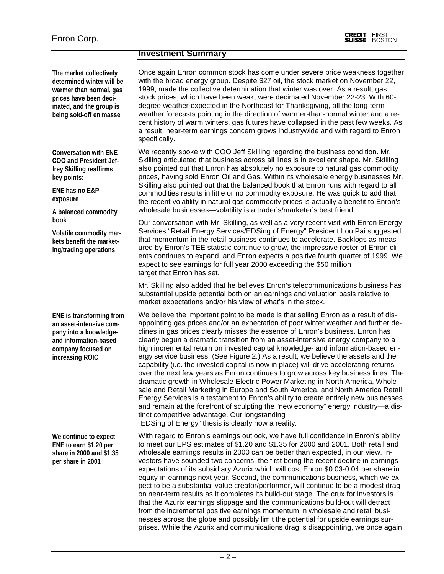#### **Investment Summary**

**The market collectively determined winter will be warmer than normal, gas prices have been decimated, and the group is being sold-off en masse**

**Conversation with ENE COO and President Jeffrey Skilling reaffirms key points:**

**ENE has no E&P exposure**

**A balanced commodity book**

**Volatile commodity markets benefit the marketing/trading operations**

**ENE is transforming from an asset-intensive company into a knowledgeand information-based company focused on increasing ROIC**

**We continue to expect ENE to earn \$1.20 per share in 2000 and \$1.35 per share in 2001**

Once again Enron common stock has come under severe price weakness together with the broad energy group. Despite \$27 oil, the stock market on November 22, 1999, made the collective determination that winter was over. As a result, gas stock prices, which have been weak, were decimated November 22-23. With 60 degree weather expected in the Northeast for Thanksgiving, all the long-term weather forecasts pointing in the direction of warmer-than-normal winter and a recent history of warm winters, gas futures have collapsed in the past few weeks. As a result, near-term earnings concern grows industrywide and with regard to Enron specifically.

We recently spoke with COO Jeff Skilling regarding the business condition. Mr. Skilling articulated that business across all lines is in excellent shape. Mr. Skilling also pointed out that Enron has absolutely no exposure to natural gas commodity prices, having sold Enron Oil and Gas. Within its wholesale energy businesses Mr. Skilling also pointed out that the balanced book that Enron runs with regard to all commodities results in little or no commodity exposure. He was quick to add that the recent volatility in natural gas commodity prices is actually a benefit to Enron's wholesale businesses—volatility is a trader's/marketer's best friend.

Our conversation with Mr. Skilling, as well as a very recent visit with Enron Energy Services "Retail Energy Services/EDSing of Energy" President Lou Pai suggested that momentum in the retail business continues to accelerate. Backlogs as measured by Enron's TEE statistic continue to grow, the impressive roster of Enron clients continues to expand, and Enron expects a positive fourth quarter of 1999. We expect to see earnings for full year 2000 exceeding the \$50 million target that Enron has set.

Mr. Skilling also added that he believes Enron's telecommunications business has substantial upside potential both on an earnings and valuation basis relative to market expectations and/or his view of what's in the stock.

We believe the important point to be made is that selling Enron as a result of disappointing gas prices and/or an expectation of poor winter weather and further declines in gas prices clearly misses the essence of Enron's business. Enron has clearly begun a dramatic transition from an asset-intensive energy company to a high incremental return on invested capital knowledge- and information-based energy service business. (See Figure 2.) As a result, we believe the assets and the capability (i.e. the invested capital is now in place) will drive accelerating returns over the next few years as Enron continues to grow across key business lines. The dramatic growth in Wholesale Electric Power Marketing in North America, Wholesale and Retail Marketing in Europe and South America, and North America Retail Energy Services is a testament to Enron's ability to create entirely new businesses and remain at the forefront of sculpting the "new economy" energy industry—a distinct competitive advantage. Our longstanding "EDSing of Energy" thesis is clearly now a reality.

With regard to Enron's earnings outlook, we have full confidence in Enron's ability to meet our EPS estimates of \$1.20 and \$1.35 for 2000 and 2001. Both retail and wholesale earnings results in 2000 can be better than expected, in our view. Investors have sounded two concerns, the first being the recent decline in earnings expectations of its subsidiary Azurix which will cost Enron \$0.03-0.04 per share in equity-in-earnings next year. Second, the communications business, which we expect to be a substantial value creator/performer, will continue to be a modest drag on near-term results as it completes its build-out stage. The crux for investors is that the Azurix earnings slippage and the communications build-out will detract from the incremental positive earnings momentum in wholesale and retail businesses across the globe and possibly limit the potential for upside earnings surprises. While the Azurix and communications drag is disappointing, we once again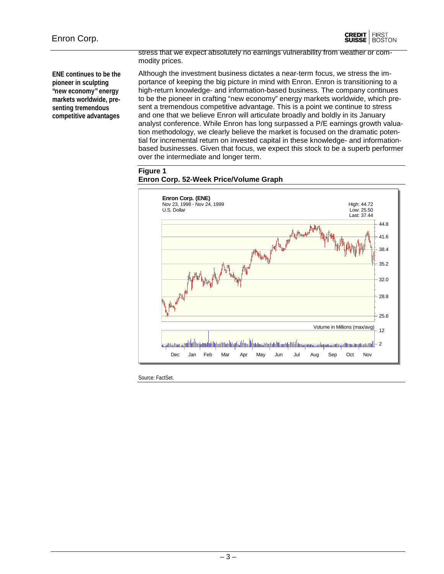

**ENE continues to be the pioneer in sculpting "new economy" energy markets worldwide, presenting tremendous competitive advantages**

stress that we expect absolutely no earnings vulnerability from weather or commodity prices.

Although the investment business dictates a near-term focus, we stress the importance of keeping the big picture in mind with Enron. Enron is transitioning to a high-return knowledge- and information-based business. The company continues to be the pioneer in crafting "new economy" energy markets worldwide, which present a tremendous competitive advantage. This is a point we continue to stress and one that we believe Enron will articulate broadly and boldly in its January analyst conference. While Enron has long surpassed a P/E earnings growth valuation methodology, we clearly believe the market is focused on the dramatic potential for incremental return on invested capital in these knowledge- and informationbased businesses. Given that focus, we expect this stock to be a superb performer over the intermediate and longer term.

#### **Figure 1 Enron Corp. 52-Week Price/Volume Graph**



Source: FactSet.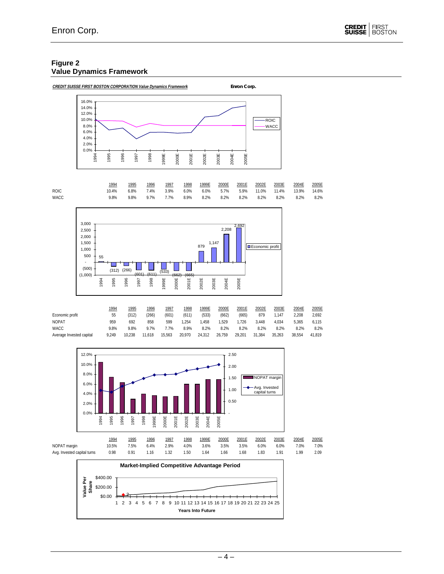#### **Figure 2 Value Dynamics Framework**







|                          | 1994  | 1995   | 1996    | 1997   | 1998   | 1999E  | 2000E  | 2001E  | 2002E  | 2003E  | 2004E  | 2005E  |
|--------------------------|-------|--------|---------|--------|--------|--------|--------|--------|--------|--------|--------|--------|
| Economic profit          | 55    | (312)  | (266)   | (601   | (611)  | (533)  | (662)  | (665)  | 879    | .147   | 2.208  | 2.692  |
| <b>NOPAT</b>             | 959   | 692    | 858     | 599    | .254   | .458   | .529   | .726   | 3.448  | 4.034  | 5.365  | 6.115  |
| <b>WACC</b>              | 9.8%  | 9.8%   | $9.7\%$ | .7%    | 8.9%   | 8.2%   | 8.2%   | 8.2%   | 8.2%   | 8.2%   | 8.2%   | 8.2%   |
| Average Invested capital | 9.249 | 10.238 | 11.618  | 15.563 | 20.970 | 24.312 | 26.759 | 29.201 | 31.384 | 35.263 | 38.554 | 41.819 |



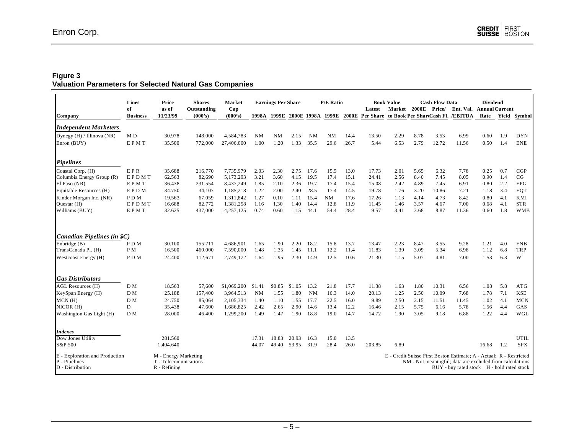#### **Figure 3**

#### **Valuation Parameters for Selected Natural Gas Companies**

|                                                                     | Lines           | Price                                                         | <b>Shares</b> | Market      |           | <b>Earnings Per Share</b> |        |           | <b>P/E Ratio</b>              |              |        | <b>Book Value</b> |       | <b>Cash Flow Data</b> |                                                                                                                                                                               | <b>Dividend</b>       |     |             |
|---------------------------------------------------------------------|-----------------|---------------------------------------------------------------|---------------|-------------|-----------|---------------------------|--------|-----------|-------------------------------|--------------|--------|-------------------|-------|-----------------------|-------------------------------------------------------------------------------------------------------------------------------------------------------------------------------|-----------------------|-----|-------------|
|                                                                     | of              | as of                                                         | Outstanding   | Cap         |           |                           |        |           |                               |              | Latest | Market            | 2000E | Price/                | Ent. Val.                                                                                                                                                                     | <b>Annual Current</b> |     |             |
| Company                                                             | <b>Business</b> | 11/23/99                                                      | (000's)       | (000's)     |           |                           |        |           | 1998A 1999E 2000E 1998A 1999E | <b>2000E</b> |        |                   |       |                       | Per Share to Book Per ShareCash Fl. /EBITDA                                                                                                                                   | Rate Yield            |     | Symbol      |
| <b>Independent Marketers</b>                                        |                 |                                                               |               |             |           |                           |        |           |                               |              |        |                   |       |                       |                                                                                                                                                                               |                       |     |             |
| Dynegy (H) / Illinova (NR)                                          | MD              | 30.978                                                        | 148,000       | 4,584,783   | <b>NM</b> | <b>NM</b>                 | 2.15   | NM        | <b>NM</b>                     | 14.4         | 13.50  | 2.29              | 8.78  | 3.53                  | 6.99                                                                                                                                                                          | 0.60                  | 1.9 | <b>DYN</b>  |
| Enron (BUY)                                                         | EPMT            | 35.500                                                        | 772,000       | 27,406,000  | 1.00      | 1.20                      | 1.33   | 35.5      | 29.6                          | 26.7         | 5.44   | 6.53              | 2.79  | 12.72                 | 11.56                                                                                                                                                                         | 0.50                  | 1.4 | <b>ENE</b>  |
| <b>Pipelines</b>                                                    |                 |                                                               |               |             |           |                           |        |           |                               |              |        |                   |       |                       |                                                                                                                                                                               |                       |     |             |
| Coastal Corp. (H)                                                   | EPR             | 35.688                                                        | 216,770       | 7,735,979   | 2.03      | 2.30                      | 2.75   | 17.6      | 15.5                          | 13.0         | 17.73  | 2.01              | 5.65  | 6.32                  | 7.78                                                                                                                                                                          | 0.25                  | 0.7 | CGP         |
| Columbia Energy Group (R)                                           | EPDMT           | 62.563                                                        | 82,690        | 5,173,293   | 3.21      | 3.60                      | 4.15   | 19.5      | 17.4                          | 15.1         | 24.41  | 2.56              | 8.40  | 7.45                  | 8.05                                                                                                                                                                          | 0.90                  | 1.4 | CG          |
| El Paso (NR)                                                        | <b>EPMT</b>     | 36.438                                                        | 231,554       | 8,437,249   | 1.85      | 2.10                      | 2.36   | 19.7      | 17.4                          | 15.4         | 15.08  | 2.42              | 4.89  | 7.45                  | 6.91                                                                                                                                                                          | 0.80                  | 2.2 | <b>EPG</b>  |
| Equitable Resources (H)                                             | EPDM            | 34.750                                                        | 34,107        | 1,185,218   | 1.22      | 2.00                      | 2.40   | 28.5      | 17.4                          | 14.5         | 19.78  | 1.76              | 3.20  | 10.86                 | 7.21                                                                                                                                                                          | 1.18                  | 3.4 | <b>EQT</b>  |
| Kinder Morgan Inc. (NR)                                             | PDM             | 19.563                                                        | 67,059        | 1,311,842   | 1.27      | 0.10                      | 1.11   | 15.4      | NM                            | 17.6         | 17.26  | 1.13              | 4.14  | 4.73                  | 8.42                                                                                                                                                                          | 0.80                  | 4.1 | KMI         |
| Questar (H)                                                         | EPDMT           | 16.688                                                        | 82,772        | 1,381,258   | 1.16      | 1.30                      | 1.40   | 14.4      | 12.8                          | 11.9         | 11.45  | 1.46              | 3.57  | 4.67                  | 7.00                                                                                                                                                                          | 0.68                  | 4.1 | <b>STR</b>  |
| Williams (BUY)                                                      | <b>EPMT</b>     | 32.625                                                        | 437,000       | 14,257,125  | 0.74      | 0.60                      | 1.15   | 44.1      | 54.4                          | 28.4         | 9.57   | 3.41              | 3.68  | 8.87                  | 11.36                                                                                                                                                                         | 0.60                  | 1.8 | <b>WMB</b>  |
| Canadian Pipelines (in \$C)                                         |                 |                                                               |               |             |           |                           |        |           |                               |              |        |                   |       |                       |                                                                                                                                                                               |                       |     |             |
| Enbridge (B)                                                        | PDM             | 30.100                                                        | 155.711       | 4.686.901   | 1.65      | 1.90                      | 2.20   | 18.2      | 15.8                          | 13.7         | 13.47  | 2.23              | 8.47  | 3.55                  | 9.28                                                                                                                                                                          | 1.21                  | 4.0 | <b>ENB</b>  |
| TransCanada Pl. (H)                                                 | PM              | 16.500                                                        | 460,000       | 7,590,000   | 1.48      | 1.35                      | 1.45   | 11.1      | 12.2                          | 11.4         | 11.83  | 1.39              | 3.09  | 5.34                  | 6.98                                                                                                                                                                          | 1.12                  | 6.8 | <b>TRP</b>  |
| Westcoast Energy (H)                                                | PDM             | 24.400                                                        | 112,671       | 2,749,172   | 1.64      | 1.95                      | 2.30   | 14.9      | 12.5                          | 10.6         | 21.30  | 1.15              | 5.07  | 4.81                  | 7.00                                                                                                                                                                          | 1.53                  | 6.3 | W           |
| <b>Gas Distributors</b>                                             |                 |                                                               |               |             |           |                           |        |           |                               |              |        |                   |       |                       |                                                                                                                                                                               |                       |     |             |
| <b>AGL Resources (H)</b>                                            | D M             | 18.563                                                        | 57,600        | \$1,069,200 | \$1.41    | \$0.85                    | \$1.05 | 13.2      | 21.8                          | 17.7         | 11.38  | 1.63              | 1.80  | 10.31                 | 6.56                                                                                                                                                                          | 1.08                  | 5.8 | ATG         |
| KeySpan Energy (H)                                                  | D M             | 25.188                                                        | 157,400       | 3,964,513   | <b>NM</b> | 1.55                      | 1.80   | <b>NM</b> | 16.3                          | 14.0         | 20.13  | 1.25              | 2.50  | 10.09                 | 7.68                                                                                                                                                                          | 1.78                  | 7.1 | <b>KSE</b>  |
| MCN(H)                                                              | D M             | 24.750                                                        | 85,064        | 2,105,334   | 1.40      | 1.10                      | 1.55   | 17.7      | 22.5                          | 16.0         | 9.89   | 2.50              | 2.15  | 11.51                 | 11.45                                                                                                                                                                         | 1.02                  | 4.1 | <b>MCN</b>  |
| NICOR (H)                                                           | D               | 35.438                                                        | 47,600        | 1,686,825   | 2.42      | 2.65                      | 2.90   | 14.6      | 13.4                          | 12.2         | 16.46  | 2.15              | 5.75  | 6.16                  | 5.78                                                                                                                                                                          | 1.56                  | 4.4 | GAS         |
| Washington Gas Light (H)                                            | D M             | 28.000                                                        | 46,400        | 1,299,200   | 1.49      | 1.47                      | 1.90   | 18.8      | 19.0                          | 14.7         | 14.72  | 1.90              | 3.05  | 9.18                  | 6.88                                                                                                                                                                          | 1.22                  | 4.4 | WGL         |
| <b>Indexes</b>                                                      |                 |                                                               |               |             |           |                           |        |           |                               |              |        |                   |       |                       |                                                                                                                                                                               |                       |     |             |
| Dow Jones Utility                                                   |                 | 281.560                                                       |               |             | 17.31     | 18.83                     | 20.93  | 16.3      | 15.0                          | 13.5         |        |                   |       |                       |                                                                                                                                                                               |                       |     | <b>UTIL</b> |
| S&P 500                                                             |                 | 1,404.640                                                     |               |             | 44.07     | 49.40                     | 53.95  | 31.9      | 28.4                          | 26.0         | 203.85 | 6.89              |       |                       |                                                                                                                                                                               | 16.68                 | 1.2 | <b>SPX</b>  |
| E - Exploration and Production<br>P - Pipelines<br>D - Distribution |                 | M - Energy Marketing<br>T - Telecomunications<br>R - Refining |               |             |           |                           |        |           |                               |              |        |                   |       |                       | E - Credit Suisse First Boston Estimate; A - Actual; R - Restricted<br>NM - Not meaningful; data are excluded from calculations<br>BUY - buy rated stock H - hold rated stock |                       |     |             |